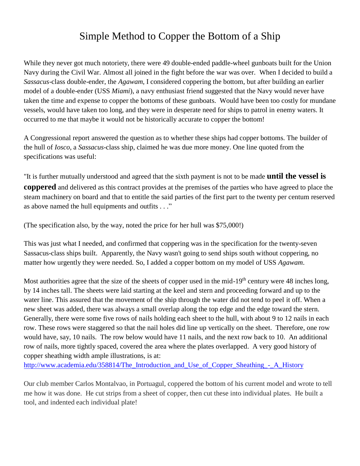## Simple Method to Copper the Bottom of a Ship

While they never got much notoriety, there were 49 double-ended paddle-wheel gunboats built for the Union Navy during the Civil War. Almost all joined in the fight before the war was over. When I decided to build a *Sassacus*-class double-ender, the *Agawam*, I considered coppering the bottom, but after building an earlier model of a double-ender (USS *Miami*), a navy enthusiast friend suggested that the Navy would never have taken the time and expense to copper the bottoms of these gunboats. Would have been too costly for mundane vessels, would have taken too long, and they were in desperate need for ships to patrol in enemy waters. It occurred to me that maybe it would not be historically accurate to copper the bottom!

A Congressional report answered the question as to whether these ships had copper bottoms. The builder of the hull of *Iosco*, a *Sassacus*-class ship, claimed he was due more money. One line quoted from the specifications was useful:

"It is further mutually understood and agreed that the sixth payment is not to be made **until the vessel is coppered** and delivered as this contract provides at the premises of the parties who have agreed to place the steam machinery on board and that to entitle the said parties of the first part to the twenty per centum reserved as above named the hull equipments and outfits . . ."

(The specification also, by the way, noted the price for her hull was \$75,000!)

This was just what I needed, and confirmed that coppering was in the specification for the twenty-seven Sassacus-class ships built. Apparently, the Navy wasn't going to send ships south without coppering, no matter how urgently they were needed. So, I added a copper bottom on my model of USS *Agawam*.

Most authorities agree that the size of the sheets of copper used in the mid-19<sup>th</sup> century were 48 inches long, by 14 inches tall. The sheets were laid starting at the keel and stern and proceeding forward and up to the water line. This assured that the movement of the ship through the water did not tend to peel it off. When a new sheet was added, there was always a small overlap along the top edge and the edge toward the stern. Generally, there were some five rows of nails holding each sheet to the hull, with about 9 to 12 nails in each row. These rows were staggered so that the nail holes did line up vertically on the sheet. Therefore, one row would have, say, 10 nails. The row below would have 11 nails, and the next row back to 10. An additional row of nails, more tightly spaced, covered the area where the plates overlapped. A very good history of copper sheathing width ample illustrations, is at:

[http://www.academia.edu/358814/The\\_Introduction\\_and\\_Use\\_of\\_Copper\\_Sheathing\\_-\\_A\\_History](http://www.academia.edu/358814/The_Introduction_and_Use_of_Copper_Sheathing_-_A_History)

Our club member Carlos Montalvao, in Portuagul, coppered the bottom of his current model and wrote to tell me how it was done. He cut strips from a sheet of copper, then cut these into individual plates. He built a tool, and indented each individual plate!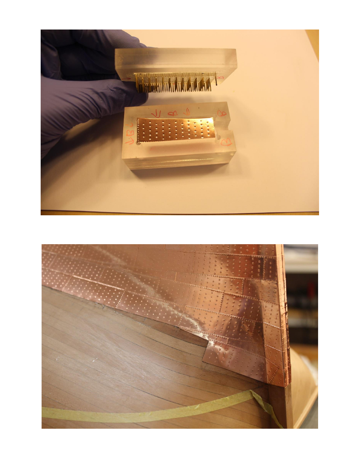

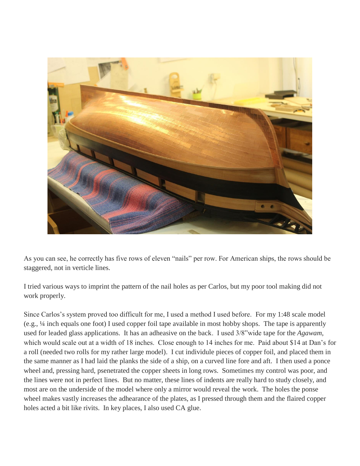

As you can see, he correctly has five rows of eleven "nails" per row. For American ships, the rows should be staggered, not in verticle lines.

I tried various ways to imprint the pattern of the nail holes as per Carlos, but my poor tool making did not work properly.

Since Carlos's system proved too difficult for me, I used a method I used before. For my 1:48 scale model (e.g., ¼ inch equals one foot) I used copper foil tape available in most hobby shops. The tape is apparently used for leaded glass applications. It has an adheasive on the back. I used 3/8"wide tape for the *Agawam*, which would scale out at a width of 18 inches. Close enough to 14 inches for me. Paid about \$14 at Dan's for a roll (needed two rolls for my rather large model). I cut individule pieces of copper foil, and placed them in the same manner as I had laid the planks the side of a ship, on a curved line fore and aft. I then used a ponce wheel and, pressing hard, psenetrated the copper sheets in long rows. Sometimes my control was poor, and the lines were not in perfect lines. But no matter, these lines of indents are really hard to study closely, and most are on the underside of the model where only a mirror would reveal the work. The holes the ponse wheel makes vastly increases the adhearance of the plates, as I pressed through them and the flaired copper holes acted a bit like rivits. In key places, I also used CA glue.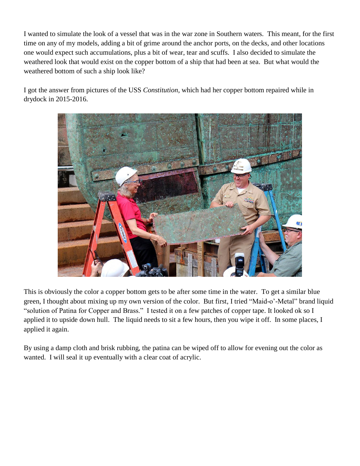I wanted to simulate the look of a vessel that was in the war zone in Southern waters. This meant, for the first time on any of my models, adding a bit of grime around the anchor ports, on the decks, and other locations one would expect such accumulations, plus a bit of wear, tear and scuffs. I also decided to simulate the weathered look that would exist on the copper bottom of a ship that had been at sea. But what would the weathered bottom of such a ship look like?

I got the answer from pictures of the USS *Constitution*, which had her copper bottom repaired while in drydock in 2015-2016.



This is obviously the color a copper bottom gets to be after some time in the water. To get a similar blue green, I thought about mixing up my own version of the color. But first, I tried "Maid-o'-Metal" brand liquid "solution of Patina for Copper and Brass." I tested it on a few patches of copper tape. It looked ok so I applied it to upside down hull. The liquid needs to sit a few hours, then you wipe it off. In some places, I applied it again.

By using a damp cloth and brisk rubbing, the patina can be wiped off to allow for evening out the color as wanted. I will seal it up eventually with a clear coat of acrylic.